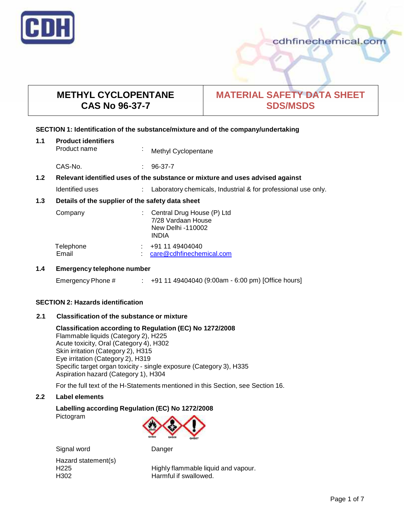

# **METHYL CYCLOPENTANE CAS No 96-37-7**

# **MATERIAL SAFETY DATA SHEET SDS/MSDS**

### **SECTION 1: Identification of the substance/mixture and of the company/undertaking**

| 1.1                                                     | <b>Product identifiers</b><br>Product name                                    | $\mathbf{r}$ | Methyl Cyclopentane                                                                   |
|---------------------------------------------------------|-------------------------------------------------------------------------------|--------------|---------------------------------------------------------------------------------------|
|                                                         | CAS-No.                                                                       |              | 96-37-7                                                                               |
| 1.2                                                     | Relevant identified uses of the substance or mixture and uses advised against |              |                                                                                       |
|                                                         | Identified uses                                                               |              | Laboratory chemicals, Industrial & for professional use only.                         |
| Details of the supplier of the safety data sheet<br>1.3 |                                                                               |              |                                                                                       |
|                                                         | Company                                                                       |              | Central Drug House (P) Ltd<br>7/28 Vardaan House<br>New Delhi -110002<br><b>INDIA</b> |
|                                                         | Telephone<br>Email                                                            |              | +91 11 49404040<br>care@cdhfinechemical.com                                           |
| 1 A                                                     | Emergency telephone number                                                    |              |                                                                                       |

# **1.4 Emergency telephone number**

Emergency Phone # : +91 11 49404040 (9:00am - 6:00 pm) [Office hours]

### **SECTION 2: Hazards identification**

### **2.1 Classification of the substance ormixture**

# **Classification according to Regulation (EC) No 1272/2008**

Flammable liquids (Category 2), H225 Acute toxicity, Oral (Category 4), H302 Skin irritation (Category 2), H315 Eye irritation (Category 2), H319 Specific target organ toxicity - single exposure (Category 3), H335 Aspiration hazard (Category 1), H304

For the full text of the H-Statements mentioned in this Section, see Section 16.

#### **2.2 Label elements**

# **Labelling according Regulation (EC) No 1272/2008**

Pictogram



Signal word Danger

Hazard statement(s)

H225 Highly flammable liquid and vapour. H302 Harmful if swallowed.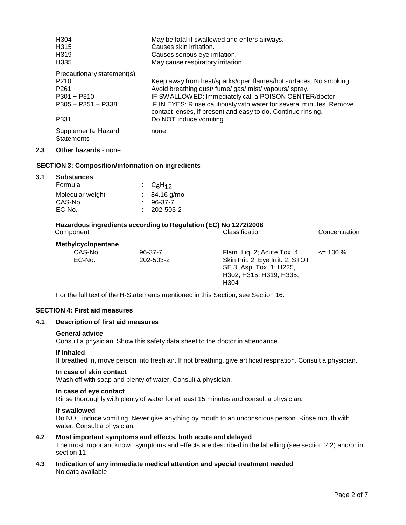|     | H <sub>304</sub>                         | May be fatal if swallowed and enters airways.                                                                                       |
|-----|------------------------------------------|-------------------------------------------------------------------------------------------------------------------------------------|
|     | H <sub>315</sub>                         | Causes skin irritation.                                                                                                             |
|     | H <sub>319</sub>                         | Causes serious eye irritation.                                                                                                      |
|     | H <sub>335</sub>                         | May cause respiratory irritation.                                                                                                   |
|     | Precautionary statement(s)               |                                                                                                                                     |
|     | P <sub>210</sub>                         | Keep away from heat/sparks/open flames/hot surfaces. No smoking.                                                                    |
|     | P <sub>261</sub>                         | Avoid breathing dust/fume/gas/mist/vapours/spray.                                                                                   |
|     | $P301 + P310$                            | IF SWALLOWED: Immediately call a POISON CENTER/doctor.                                                                              |
|     | $P305 + P351 + P338$                     | IF IN EYES: Rinse cautiously with water for several minutes. Remove<br>contact lenses, if present and easy to do. Continue rinsing. |
|     | P331                                     | Do NOT induce vomiting.                                                                                                             |
|     | Supplemental Hazard<br><b>Statements</b> | none                                                                                                                                |
| 2.3 | <b>Other hazards - none</b>              |                                                                                                                                     |

## **SECTION 3: Composition/information on ingredients**

#### **3.1 Substances**

| Formula          | : $C_6H_{12}$     |
|------------------|-------------------|
| Molecular weight | $: 84.16$ g/mol   |
| CAS-No.          | $: 96-37-7$       |
| EC-No.           | $: 202 - 503 - 2$ |

#### **Hazardous ingredients according to Regulation (EC) No 1272/2008** Component Classification Concentration

**Methylcyclopentane**

| 96-37-7   | Flam. Lig. 2; Acute Tox. 4;       | $\leq$ 100 % |
|-----------|-----------------------------------|--------------|
| 202-503-2 | Skin Irrit. 2; Eye Irrit. 2; STOT |              |
|           | SE 3; Asp. Tox. 1; H225,          |              |
|           | H302, H315, H319, H335,           |              |
|           | H304                              |              |
|           |                                   |              |

For the full text of the H-Statements mentioned in this Section, see Section 16.

### **SECTION 4: First aid measures**

#### **4.1 Description of first aid measures**

#### **General advice**

Consult a physician. Show this safety data sheet to the doctor in attendance.

#### **If inhaled**

If breathed in, move person into fresh air. If not breathing, give artificial respiration. Consult a physician.

#### **In case of skin contact**

Wash off with soap and plenty of water. Consult a physician.

## **In case of eye contact**

Rinse thoroughly with plenty of water for at least 15 minutes and consult a physician.

#### **If swallowed**

Do NOT induce vomiting. Never give anything by mouth to an unconscious person. Rinse mouth with water. Consult a physician.

- **4.2 Most important symptoms and effects, both acute and delayed** The most important known symptoms and effects are described in the labelling (see section 2.2) and/or in section 11
- **4.3 Indication of any immediate medical attention and special treatment needed** No data available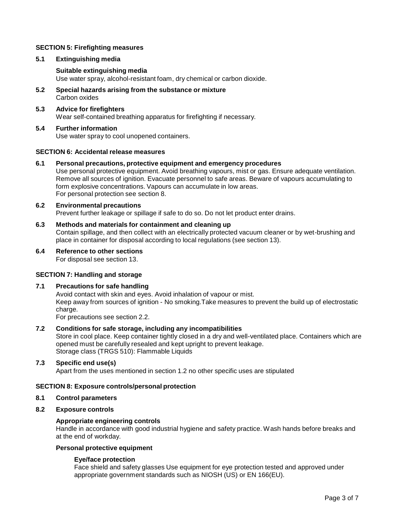#### **SECTION 5: Firefighting measures**

#### **5.1 Extinguishing media**

#### **Suitable extinguishing media**

Use water spray, alcohol-resistant foam, dry chemical or carbon dioxide.

- **5.2 Special hazards arising from the substance ormixture** Carbon oxides
- **5.3 Advice for firefighters** Wear self-contained breathing apparatus for firefighting if necessary.

#### **5.4 Further information**

Use water spray to cool unopened containers.

#### **SECTION 6: Accidental release measures**

**6.1 Personal precautions, protective equipment and emergency procedures**

Use personal protective equipment. Avoid breathing vapours, mist or gas. Ensure adequate ventilation. Remove all sources of ignition. Evacuate personnel to safe areas. Beware of vapours accumulating to form explosive concentrations. Vapours can accumulate in low areas. For personal protection see section 8.

#### **6.2 Environmental precautions**

Prevent further leakage or spillage if safe to do so. Do not let product enter drains.

### **6.3 Methods and materials for containment and cleaning up**

Contain spillage, and then collect with an electrically protected vacuum cleaner or by wet-brushing and place in container for disposal according to local regulations (see section 13).

# **6.4 Reference to other sections**

For disposal see section 13.

#### **SECTION 7: Handling and storage**

#### **7.1 Precautions for safe handling**

Avoid contact with skin and eyes. Avoid inhalation of vapour or mist. Keep away from sources of ignition - No smoking.Take measures to prevent the build up of electrostatic charge.

For precautions see section 2.2.

## **7.2 Conditions for safe storage, including any incompatibilities**

Store in cool place. Keep container tightly closed in a dry and well-ventilated place. Containers which are opened must be carefully resealed and kept upright to prevent leakage. Storage class (TRGS 510): Flammable Liquids

#### **7.3 Specific end use(s)**

Apart from the uses mentioned in section 1.2 no other specific uses are stipulated

#### **SECTION 8: Exposure controls/personal protection**

#### **8.1 Control parameters**

#### **8.2 Exposure controls**

#### **Appropriate engineering controls**

Handle in accordance with good industrial hygiene and safety practice. Wash hands before breaks and at the end of workday.

#### **Personal protective equipment**

#### **Eye/face protection**

Face shield and safety glasses Use equipment for eye protection tested and approved under appropriate government standards such as NIOSH (US) or EN 166(EU).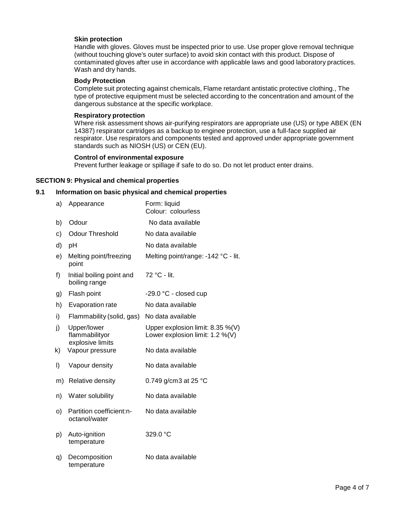#### **Skin protection**

Handle with gloves. Gloves must be inspected prior to use. Use proper glove removal technique (without touching glove's outer surface) to avoid skin contact with this product. Dispose of contaminated gloves after use in accordance with applicable laws and good laboratory practices. Wash and dry hands.

#### **Body Protection**

Complete suit protecting against chemicals, Flame retardant antistatic protective clothing., The type of protective equipment must be selected according to the concentration and amount of the dangerous substance at the specific workplace.

#### **Respiratory protection**

Where risk assessment shows air-purifying respirators are appropriate use (US) or type ABEK (EN 14387) respirator cartridges as a backup to enginee protection, use a full-face supplied air respirator. Use respirators and components tested and approved under appropriate government standards such as NIOSH (US) or CEN (EU).

#### **Control of environmental exposure**

Prevent further leakage or spillage if safe to do so. Do not let product enter drains.

#### **SECTION 9: Physical and chemical properties**

#### **9.1 Information on basic physical and chemical properties**

| a) | Appearance                                        | Form: liquid<br>Colour: colourless                                     |
|----|---------------------------------------------------|------------------------------------------------------------------------|
| b) | Odour                                             | No data available                                                      |
| c) | <b>Odour Threshold</b>                            | No data available                                                      |
| d) | рH                                                | No data available                                                      |
| e) | Melting point/freezing<br>point                   | Melting point/range: -142 °C - lit.                                    |
| f) | Initial boiling point and<br>boiling range        | 72 °C - lit.                                                           |
| g) | Flash point                                       | -29.0 °C - closed cup                                                  |
| h) | Evaporation rate                                  | No data available                                                      |
| i) | Flammability (solid, gas)                         | No data available                                                      |
| j) | Upper/lower<br>flammabilityor<br>explosive limits | Upper explosion limit: 8.35 %(V)<br>Lower explosion limit: $1.2\%$ (V) |
| k) | Vapour pressure                                   | No data available                                                      |
| I) | Vapour density                                    | No data available                                                      |
| m) | Relative density                                  | 0.749 g/cm3 at 25 $^{\circ}$ C                                         |
| n) | Water solubility                                  | No data available                                                      |
| O) | Partition coefficient:n-<br>octanol/water         | No data available                                                      |
| p) | Auto-ignition<br>temperature                      | 329.0 °C                                                               |
| q) | Decomposition<br>temperature                      | No data available                                                      |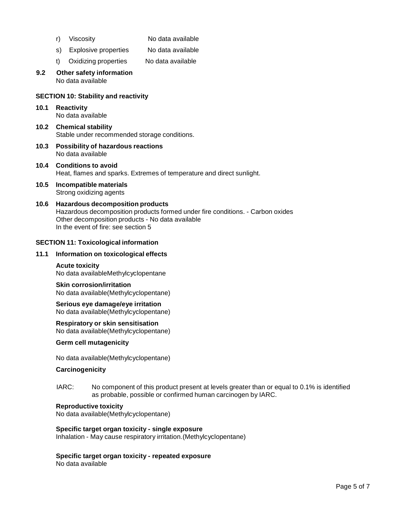- 
- r) Viscosity No data available
- s) Explosive properties No data available
- t) Oxidizing properties No data available

#### **9.2 Other safety information** No data available

#### **SECTION 10: Stability and reactivity**

**10.1 Reactivity** No data available

**10.2 Chemical stability** Stable under recommended storage conditions.

- **10.3 Possibility of hazardous reactions** No data available
- **10.4 Conditions to avoid** Heat, flames and sparks. Extremes of temperature and direct sunlight.
- **10.5 Incompatible materials** Strong oxidizing agents
- **10.6 Hazardous decomposition products** Hazardous decomposition products formed under fire conditions. - Carbon oxides Other decomposition products - No data available In the event of fire: see section 5

#### **SECTION 11: Toxicological information**

#### **11.1 Information on toxicological effects**

# **Acute toxicity**

No data availableMethylcyclopentane

#### **Skin corrosion/irritation** No data available(Methylcyclopentane)

**Serious eye damage/eye irritation** No data available(Methylcyclopentane)

#### **Respiratory or skin sensitisation**

No data available(Methylcyclopentane)

#### **Germ cell mutagenicity**

No data available(Methylcyclopentane)

#### **Carcinogenicity**

IARC: No component of this product present at levels greater than or equal to 0.1% is identified as probable, possible or confirmed human carcinogen by IARC.

#### **Reproductive toxicity**

No data available(Methylcyclopentane)

#### **Specific target organ toxicity - single exposure** Inhalation - May cause respiratory irritation.(Methylcyclopentane)

#### **Specific target organ toxicity - repeated exposure**

No data available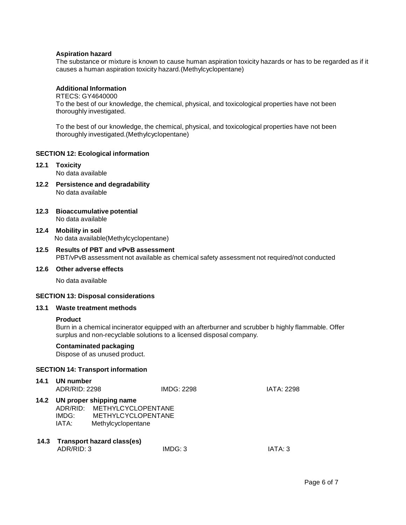#### **Aspiration hazard**

The substance or mixture is known to cause human aspiration toxicity hazards or has to be regarded as if it causes a human aspiration toxicity hazard.(Methylcyclopentane)

## **Additional Information**

RTECS: GY4640000

To the best of our knowledge, the chemical, physical, and toxicological properties have not been thoroughly investigated.

To the best of our knowledge, the chemical, physical, and toxicological properties have not been thoroughly investigated.(Methylcyclopentane)

#### **SECTION 12: Ecological information**

#### **12.1 Toxicity** No data available

- **12.2 Persistence and degradability** No data available
- **12.3 Bioaccumulative potential** No data available
- **12.4 Mobility in soil** No data available(Methylcyclopentane)
- **12.5 Results of PBT and vPvB assessment** PBT/vPvB assessment not available as chemical safety assessment not required/not conducted

#### **12.6 Other adverse effects**

No data available

#### **SECTION 13: Disposal considerations**

#### **13.1 Waste treatment methods**

#### **Product**

Burn in a chemical incinerator equipped with an afterburner and scrubber b highly flammable. Offer surplus and non-recyclable solutions to a licensed disposal company.

#### **Contaminated packaging**

Dispose of as unused product.

#### **SECTION 14: Transport information**

| 14.1 | UN number<br>ADR/RID: 2298 |                                                                                                         | IMDG: 2298 | <b>IATA: 2298</b> |
|------|----------------------------|---------------------------------------------------------------------------------------------------------|------------|-------------------|
| 14.2 | ADR/RID:<br>IMDG:<br>IATA: | UN proper shipping name<br><b>METHYLCYCLOPENTANE</b><br><b>METHYLCYCLOPENTANE</b><br>Methylcyclopentane |            |                   |
| 14.3 | ADR/RID: 3                 | Transport hazard class(es)                                                                              | IMDG: 3    | IATA: 3           |